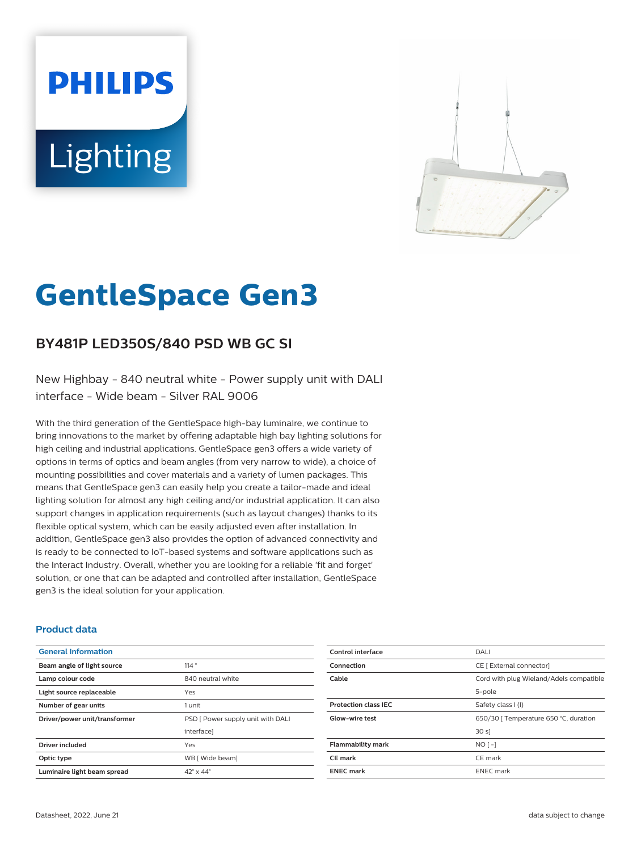# **PHILIPS Lighting**



# **GentleSpace Gen3**

# **BY481P LED350S/840 PSD WB GC SI**

New Highbay - 840 neutral white - Power supply unit with DALI interface - Wide beam - Silver RAL 9006

With the third generation of the GentleSpace high-bay luminaire, we continue to bring innovations to the market by offering adaptable high bay lighting solutions for high ceiling and industrial applications. GentleSpace gen3 offers a wide variety of options in terms of optics and beam angles (from very narrow to wide), a choice of mounting possibilities and cover materials and a variety of lumen packages. This means that GentleSpace gen3 can easily help you create a tailor-made and ideal lighting solution for almost any high ceiling and/or industrial application. It can also support changes in application requirements (such as layout changes) thanks to its flexible optical system, which can be easily adjusted even after installation. In addition, GentleSpace gen3 also provides the option of advanced connectivity and is ready to be connected to IoT-based systems and software applications such as the Interact Industry. Overall, whether you are looking for a reliable 'fit and forget' solution, or one that can be adapted and controlled after installation, GentleSpace gen3 is the ideal solution for your application.

#### **Product data**

| <b>General Information</b>    |                                   |
|-------------------------------|-----------------------------------|
| Beam angle of light source    | 114°                              |
| Lamp colour code              | 840 neutral white                 |
| Light source replaceable      | Yes                               |
| Number of gear units          | 1 unit                            |
| Driver/power unit/transformer | PSD [ Power supply unit with DALI |
|                               | interfacel                        |
| <b>Driver included</b>        | Yes                               |
| Optic type                    | WB [ Wide beam]                   |
| Luminaire light beam spread   | $42^{\circ}$ x $44^{\circ}$       |

| Control interface           | <b>DALI</b>                             |
|-----------------------------|-----------------------------------------|
| Connection                  | CE [ External connector]                |
| Cable                       | Cord with plug Wieland/Adels compatible |
|                             | 5-pole                                  |
| <b>Protection class IEC</b> | Safety class I (I)                      |
| Glow-wire test              | 650/30   Temperature 650 °C, duration   |
|                             | 30 s                                    |
| <b>Flammability mark</b>    | $NO[-]$                                 |
| <b>CE</b> mark              | CE mark                                 |
| <b>ENEC mark</b>            | <b>ENEC</b> mark                        |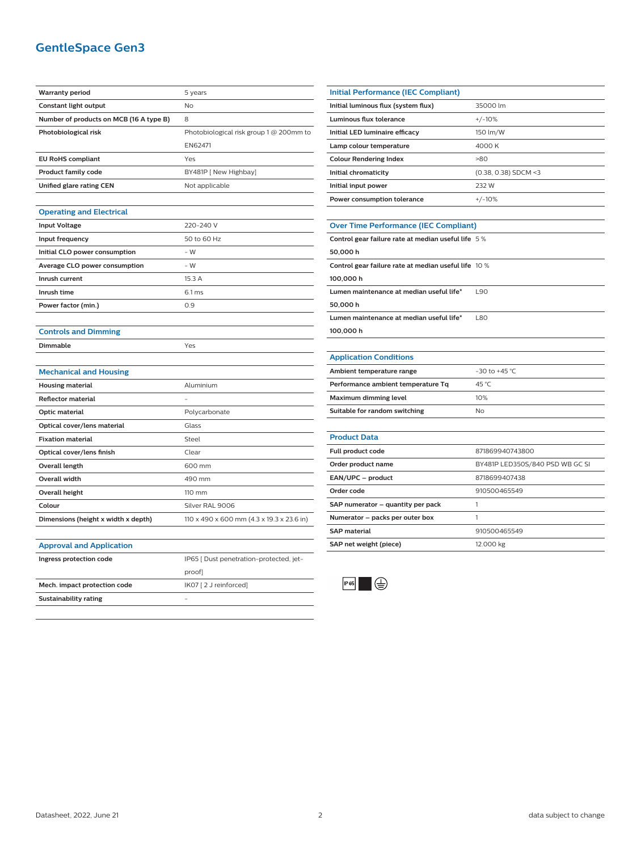## **GentleSpace Gen3**

| <b>Warranty period</b>                  | 5 years                                   |
|-----------------------------------------|-------------------------------------------|
| Constant light output                   | No                                        |
| Number of products on MCB (16 A type B) | 8                                         |
| Photobiological risk                    | Photobiological risk group 1 @ 200mm to   |
|                                         | EN62471                                   |
| <b>EU RoHS compliant</b>                | Yes                                       |
| <b>Product family code</b>              | BY481P [ New Highbay]                     |
| Unified glare rating CEN                | Not applicable                            |
|                                         |                                           |
| <b>Operating and Electrical</b>         |                                           |
| <b>Input Voltage</b>                    | 220-240 V                                 |
| Input frequency                         | 50 to 60 Hz                               |
| Initial CLO power consumption           | $-W$                                      |
| Average CLO power consumption           | $-W$                                      |
| Inrush current                          | 15.3 A                                    |
| Inrush time                             | 6.1 <sub>ms</sub>                         |
| Power factor (min.)                     | 0.9                                       |
|                                         |                                           |
| <b>Controls and Dimming</b>             |                                           |
| <b>Dimmable</b>                         | Yes                                       |
|                                         |                                           |
| <b>Mechanical and Housing</b>           |                                           |
| <b>Housing material</b>                 | Aluminium                                 |
| <b>Reflector material</b>               |                                           |
| Optic material                          | Polycarbonate                             |
| Optical cover/lens material             | Glass                                     |
| <b>Fixation material</b>                | Steel                                     |
| Optical cover/lens finish               | Clear                                     |
| <b>Overall length</b>                   | 600 mm                                    |
| Overall width                           | 490 mm                                    |
| <b>Overall height</b>                   | 110 mm                                    |
| Colour                                  | Silver RAL 9006                           |
| Dimensions (height x width x depth)     | 110 x 490 x 600 mm (4.3 x 19.3 x 23.6 in) |
|                                         |                                           |
|                                         |                                           |
| <b>Approval and Application</b>         |                                           |
| Ingress protection code                 | IP65 [ Dust penetration-protected, jet-   |
|                                         | proof]                                    |
| Mech. impact protection code            | IK07 [2 J reinforced]                     |
| <b>Sustainability rating</b>            |                                           |

| Initial Performance (IEC Compliant) |                        |
|-------------------------------------|------------------------|
| Initial luminous flux (system flux) | 35000 lm               |
| Luminous flux tolerance             | $+/-10%$               |
| Initial LED luminaire efficacy      | 150 lm/W               |
| Lamp colour temperature             | 4000 K                 |
| <b>Colour Rendering Index</b>       | $-80$                  |
| Initial chromaticity                | $(0.38, 0.38)$ SDCM <3 |
| Initial input power                 | 232 W                  |
| Power consumption tolerance         | $+/-10%$               |
|                                     |                        |

#### **Over Time Performance (IEC Compliant)**

| Control gear failure rate at median useful life 5 %  |            |
|------------------------------------------------------|------------|
| 50.000h                                              |            |
| Control gear failure rate at median useful life 10 % |            |
| 100.000 h                                            |            |
| Lumen maintenance at median useful life*             | L90        |
| 50.000h                                              |            |
| Lumen maintenance at median useful life*             | <b>L80</b> |
| 100.000 h                                            |            |
|                                                      |            |

#### **Application Conditions**

| Ambient temperature range          | $-30$ to $+45$ °C. |
|------------------------------------|--------------------|
| Performance ambient temperature Tq | 45 °C              |
| Maximum dimming level              | 10%                |
| Suitable for random switching      | Nο                 |

| <b>Product Data</b>               |                                 |
|-----------------------------------|---------------------------------|
| Full product code                 | 871869940743800                 |
| Order product name                | BY481P LED350S/840 PSD WB GC SI |
| EAN/UPC - product                 | 8718699407438                   |
| Order code                        | 910500465549                    |
| SAP numerator - quantity per pack |                                 |
| Numerator – packs per outer box   |                                 |
| <b>SAP</b> material               | 910500465549                    |
| SAP net weight (piece)            | 12.000 kg                       |
|                                   |                                 |